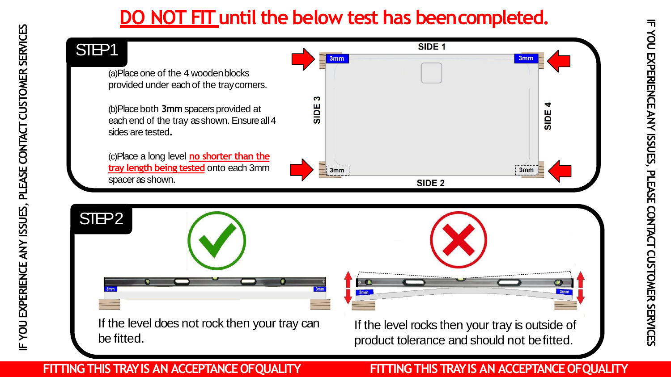# **DO NOT FIT until the below test has beencompleted.**

## STEP<sub>1</sub>

(a)Place one of the 4 woodenblocks provided under each of the traycorners.

(b)Place both **3mm** spacers provided at each end of the tray as shown. Ensure all 4 sides are tested**.**

(c)Place a long level **no shorter than the tray length being tested** onto each 3mm spacer as shown.





If the level does not rock then your tray can be fitted.

 $3mm$ 

If the level rocks then your tray is outside of product tolerance and should not befitted.

### **FITTING THIS TRAY IS AN ACCEPTANCE OFQUALITY FITTING THIS TRAY IS AN ACCEPTANCE OFQUALITY**

**IF YOU EXPERIENCE ANY ISSUES, PLEASE CONTACT CUSTOMER**

IF YOU EXPERIENCE ANY ISSUES, PLEASE CONTACT CUSTOMER SERVICES

**SERVICES**